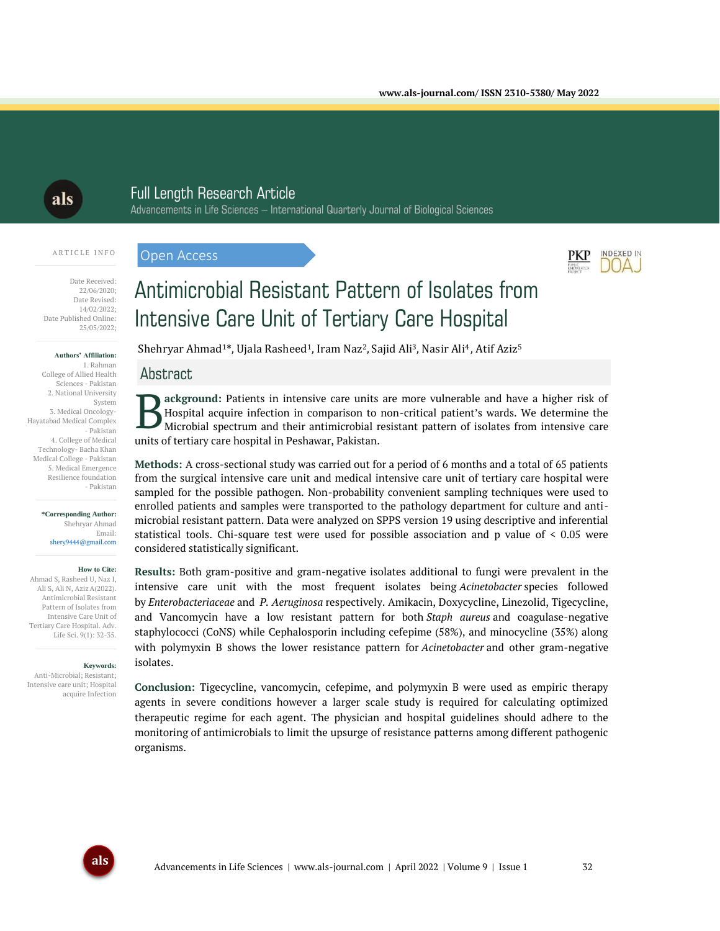als

# Full Length Research Article

Advancements in Life Sciences – International Quarterly Journal of Biological Sciences

#### A R T I C L E I N F O

Open Access



#### **Authors' Affiliation:**

1. Rahman College of Allied Health Sciences - Pakistan 2. National University System 3. Medical Oncology-Hayatabad Medical Complex - Pakistan 4. College of Medical Technology- Bacha Khan Medical College - Pakistan 5. Medical Emergence Resilience foundation - Pakistan

#### **\*Corresponding Author:** Shehryar Ahmad Email:

shery9444@gmail.com

#### **How to Cite:**

Ahmad S, Rasheed U, Naz I, Ali S, Ali N, AzizA(2022). Antimicrobial Resistant Pattern of Isolates from Intensive Care Unit of Tertiary Care Hospital. Adv. Life Sci. 9(1): 32-35.

**Keywords:**

Anti-Microbial; Resistant; Intensive care unit; Hospital acquire Infection

# Antimicrobial Resistant Pattern of Isolates from Intensive Care Unit of Tertiary Care Hospital

Shehryar Ahmad<sup>1\*</sup>, Ujala Rasheed<sup>1</sup>, Iram Naz<sup>2</sup>, Sajid Ali<sup>3</sup>, Nasir Ali<sup>4</sup>, Atif Aziz<sup>5</sup>

#### Abstract

**ackground:** Patients in intensive care units are more vulnerable and have a higher risk of Hospital acquire infection in comparison to non-critical patient's wards. We determine the Microbial spectrum and their antimicrobial resistant pattern of isolates from intensive care units of tertiary care hospital in Peshawar, Pakistan. B

**Methods:** A cross-sectional study was carried out for a period of 6 months and a total of 65 patients from the surgical intensive care unit and medical intensive care unit of tertiary care hospital were sampled for the possible pathogen. Non-probability convenient sampling techniques were used to enrolled patients and samples were transported to the pathology department for culture and antimicrobial resistant pattern. Data were analyzed on SPPS version 19 using descriptive and inferential statistical tools. Chi-square test were used for possible association and p value of < 0.05 were considered statistically significant.

**Results:** Both gram-positive and gram-negative isolates additional to fungi were prevalent in the intensive care unit with the most frequent isolates being *Acinetobacter* species followed by *Enterobacteriaceae* and *P. Aeruginosa* respectively. Amikacin, Doxycycline, Linezolid, Tigecycline, and Vancomycin have a low resistant pattern for both *Staph aureus* and coagulase-negative staphylococci (CoNS) while Cephalosporin including cefepime (58%), and minocycline (35%) along with polymyxin B shows the lower resistance pattern for *Acinetobacter* and other gram-negative isolates.

**Conclusion:** Tigecycline, vancomycin, cefepime, and polymyxin B were used as empiric therapy agents in severe conditions however a larger scale study is required for calculating optimized therapeutic regime for each agent. The physician and hospital guidelines should adhere to the monitoring of antimicrobials to limit the upsurge of resistance patterns among different pathogenic organisms.



INDEXED IN

PKP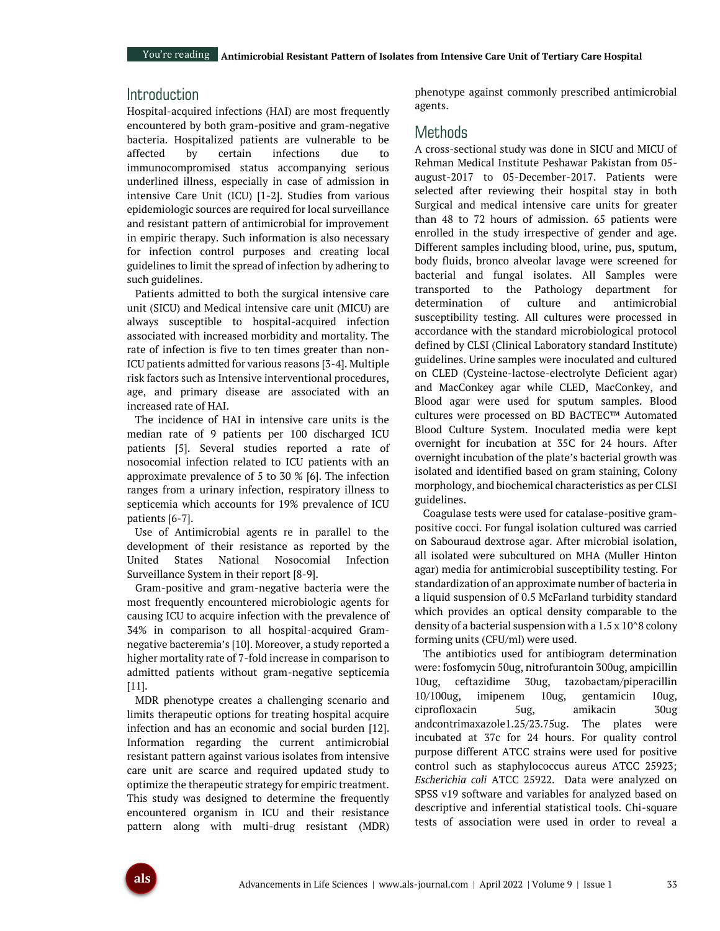# Introduction

Hospital-acquired infections (HAI) are most frequently encountered by both gram-positive and gram-negative bacteria. Hospitalized patients are vulnerable to be affected by certain infections due to immunocompromised status accompanying serious underlined illness, especially in case of admission in intensive Care Unit (ICU) [1-2]. Studies from various epidemiologic sources are required for local surveillance and resistant pattern of antimicrobial for improvement in empiric therapy. Such information is also necessary for infection control purposes and creating local guidelines to limit the spread of infection by adhering to such guidelines.

Patients admitted to both the surgical intensive care unit (SICU) and Medical intensive care unit (MICU) are always susceptible to hospital-acquired infection associated with increased morbidity and mortality. The rate of infection is five to ten times greater than non-ICU patients admitted for various reasons [3-4]. Multiple risk factors such as Intensive interventional procedures, age, and primary disease are associated with an increased rate of HAI.

The incidence of HAI in intensive care units is the median rate of 9 patients per 100 discharged ICU patients [5]. Several studies reported a rate of nosocomial infection related to ICU patients with an approximate prevalence of 5 to 30 % [6]. The infection ranges from a urinary infection, respiratory illness to septicemia which accounts for 19% prevalence of ICU patients [6-7].

Use of Antimicrobial agents re in parallel to the development of their resistance as reported by the United States National Nosocomial Infection Surveillance System in their report [8-9].

Gram-positive and gram-negative bacteria were the most frequently encountered microbiologic agents for causing ICU to acquire infection with the prevalence of 34% in comparison to all hospital-acquired Gramnegative bacteremia's [10]. Moreover, a study reported a higher mortality rate of 7-fold increase in comparison to admitted patients without gram-negative septicemia [11].

MDR phenotype creates a challenging scenario and limits therapeutic options for treating hospital acquire infection and has an economic and social burden [12]. Information regarding the current antimicrobial resistant pattern against various isolates from intensive care unit are scarce and required updated study to optimize the therapeutic strategy for empiric treatment. This study was designed to determine the frequently encountered organism in ICU and their resistance pattern along with multi-drug resistant (MDR) phenotype against commonly prescribed antimicrobial agents.

### **Methods**

A cross-sectional study was done in SICU and MICU of Rehman Medical Institute Peshawar Pakistan from 05 august-2017 to 05-December-2017. Patients were selected after reviewing their hospital stay in both Surgical and medical intensive care units for greater than 48 to 72 hours of admission. 65 patients were enrolled in the study irrespective of gender and age. Different samples including blood, urine, pus, sputum, body fluids, bronco alveolar lavage were screened for bacterial and fungal isolates. All Samples were transported to the Pathology department for determination of culture and antimicrobial susceptibility testing. All cultures were processed in accordance with the standard microbiological protocol defined by CLSI (Clinical Laboratory standard Institute) guidelines. Urine samples were inoculated and cultured on CLED (Cysteine-lactose-electrolyte Deficient agar) and MacConkey agar while CLED, MacConkey, and Blood agar were used for sputum samples. Blood cultures were processed on BD BACTEC™ Automated Blood Culture System. Inoculated media were kept overnight for incubation at 35C for 24 hours. After overnight incubation of the plate's bacterial growth was isolated and identified based on gram staining, Colony morphology, and biochemical characteristics as per CLSI guidelines.

Coagulase tests were used for catalase-positive grampositive cocci. For fungal isolation cultured was carried on Sabouraud dextrose agar. After microbial isolation, all isolated were subcultured on MHA (Muller Hinton agar) media for antimicrobial susceptibility testing. For standardization of an approximate number of bacteria in a liquid suspension of 0.5 McFarland turbidity standard which provides an optical density comparable to the density of a bacterial suspension with a 1.5 x 10^8 colony forming units (CFU/ml) were used.

The antibiotics used for antibiogram determination were: fosfomycin 50ug, nitrofurantoin 300ug, ampicillin 10ug, ceftazidime 30ug, tazobactam/piperacillin 10/100ug, imipenem 10ug, gentamicin 10ug, ciprofloxacin 5ug, amikacin 30ug andcontrimaxazole1.25/23.75ug. The plates were incubated at 37c for 24 hours. For quality control purpose different ATCC strains were used for positive control such as staphylococcus aureus ATCC 25923; *Escherichia coli* ATCC 25922. Data were analyzed on SPSS v19 software and variables for analyzed based on descriptive and inferential statistical tools. Chi-square tests of association were used in order to reveal a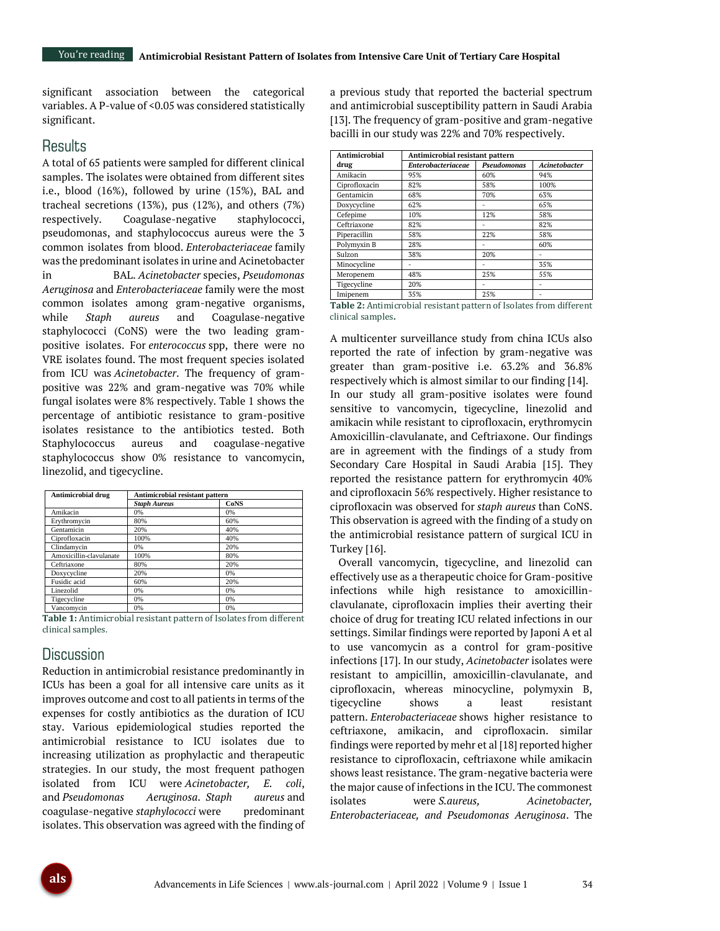significant association between the categorical variables. A P-value of <0.05 was considered statistically significant.

### **Results**

A total of 65 patients were sampled for different clinical samples. The isolates were obtained from different sites i.e., blood (16%), followed by urine (15%), BAL and tracheal secretions (13%), pus (12%), and others (7%) respectively. Coagulase-negative staphylococci, pseudomonas, and staphylococcus aureus were the 3 common isolates from blood. *Enterobacteriaceae* family was the predominant isolates in urine and Acinetobacter in BAL. *Acinetobacter* species, *Pseudomonas Aeruginosa* and *Enterobacteriaceae* family were the most common isolates among gram-negative organisms, while *Staph aureus* and Coagulase-negative staphylococci (CoNS) were the two leading grampositive isolates. For *enterococcus* spp, there were no VRE isolates found. The most frequent species isolated from ICU was *Acinetobacter*. The frequency of grampositive was 22% and gram-negative was 70% while fungal isolates were 8% respectively. Table 1 shows the percentage of antibiotic resistance to gram-positive isolates resistance to the antibiotics tested. Both Staphylococcus aureus and coagulase-negative staphylococcus show 0% resistance to vancomycin, linezolid, and tigecycline.

| <b>Antimicrobial drug</b> | Antimicrobial resistant pattern |             |  |
|---------------------------|---------------------------------|-------------|--|
|                           | <b>Staph Aureus</b>             | <b>CoNS</b> |  |
| Amikacin                  | 0%                              | 0%          |  |
| Erythromycin              | 80%                             | 60%         |  |
| Gentamicin                | 20%                             | 40%         |  |
| Ciprofloxacin             | 100%                            | 40%         |  |
| Clindamycin               | 0%                              | 20%         |  |
| Amoxicillin-clavulanate   | 100%                            | 80%         |  |
| Ceftriaxone               | 80%                             | 20%         |  |
| Doxycycline               | 20%                             | 0%          |  |
| Fusidic acid              | 60%                             | 20%         |  |
| Linezolid                 | 0%                              | 0%          |  |
| Tigecycline               | 0%                              | 0%          |  |
| Vancomycin                | 0%                              | 0%          |  |

**Table 1:** Antimicrobial resistant pattern of Isolates from different clinical samples.

### **Discussion**

Reduction in antimicrobial resistance predominantly in ICUs has been a goal for all intensive care units as it improves outcome and cost to all patients in terms of the expenses for costly antibiotics as the duration of ICU stay. Various epidemiological studies reported the antimicrobial resistance to ICU isolates due to increasing utilization as prophylactic and therapeutic strategies. In our study, the most frequent pathogen isolated from ICU were *Acinetobacter, E. coli*, and *Pseudomonas Aeruginosa*. *Staph aureus* and coagulase-negative *staphylococci* were predominant isolates. This observation was agreed with the finding of

a previous study that reported the bacterial spectrum and antimicrobial susceptibility pattern in Saudi Arabia [13]. The frequency of gram-positive and gram-negative bacilli in our study was 22% and 70% respectively.

| Antimicrobial | Antimicrobial resistant pattern |             |                      |
|---------------|---------------------------------|-------------|----------------------|
| drug          | <b>Enterobacteriaceae</b>       | Pseudomonas | <b>Acinetobacter</b> |
| Amikacin      | 95%                             | 60%         | 94%                  |
| Ciprofloxacin | 82%                             | 58%         | 100%                 |
| Gentamicin    | 68%                             | 70%         | 63%                  |
| Doxycycline   | 62%                             |             | 65%                  |
| Cefepime      | 10%                             | 12%         | 58%                  |
| Ceftriaxone   | 82%                             |             | 82%                  |
| Piperacillin  | 58%                             | 22%         | 58%                  |
| Polymyxin B   | 28%                             |             | 60%                  |
| Sulzon        | 38%                             | 20%         |                      |
| Minocycline   |                                 |             | 35%                  |
| Meropenem     | 48%                             | 25%         | 55%                  |
| Tigecycline   | 20%                             |             |                      |
| Imipenem      | 35%                             | 25%         |                      |

**Table 2:** Antimicrobial resistant pattern of Isolates from different clinical samples**.**

A multicenter surveillance study from china ICUs also reported the rate of infection by gram-negative was greater than gram-positive i.e. 63.2% and 36.8% respectively which is almost similar to our finding [14]. In our study all gram-positive isolates were found sensitive to vancomycin, tigecycline, linezolid and amikacin while resistant to ciprofloxacin, erythromycin Amoxicillin-clavulanate, and Ceftriaxone. Our findings are in agreement with the findings of a study from Secondary Care Hospital in Saudi Arabia [15]. They reported the resistance pattern for erythromycin 40% and ciprofloxacin 56% respectively. Higher resistance to ciprofloxacin was observed for *staph aureus* than CoNS. This observation is agreed with the finding of a study on the antimicrobial resistance pattern of surgical ICU in Turkey [16].

Overall vancomycin, tigecycline, and linezolid can effectively use as a therapeutic choice for Gram-positive infections while high resistance to amoxicillinclavulanate, ciprofloxacin implies their averting their choice of drug for treating ICU related infections in our settings. Similar findings were reported by Japoni A et al to use vancomycin as a control for gram-positive infections [17]. In our study, *Acinetobacter* isolates were resistant to ampicillin, amoxicillin-clavulanate, and ciprofloxacin, whereas minocycline, polymyxin B, tigecycline shows a least resistant pattern. *Enterobacteriaceae* shows higher resistance to ceftriaxone, amikacin, and ciprofloxacin. similar findings were reported by mehr et al [18] reported higher resistance to ciprofloxacin, ceftriaxone while amikacin shows least resistance. The gram-negative bacteria were the major cause of infections in the ICU. The commonest isolates were *S.aureus, Acinetobacter, Enterobacteriaceae, and Pseudomonas Aeruginosa*. The